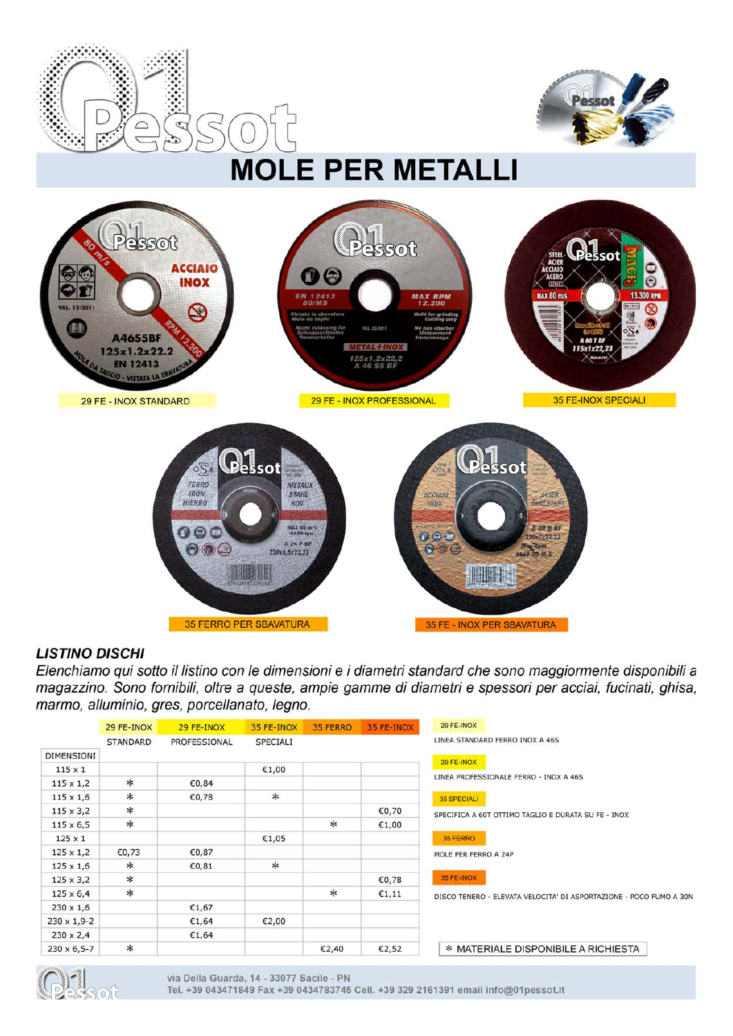



# **LISTINO DISCHI**

Elenchiamo qui sotto il listino con le dimensioni e i diametri standard che sono maggiormente disponibili a magazzino. Sono fornibili, oltre a queste, ampie gamme di diametri e spessori per acciai, fucinati, ghisa, marmo, alluminio, gres, porcellanato, legno.

|                       | 29 FE-INOX      | 29 FE-INOX   | 35 FE-INOX | 35 FERRO | 35 FE-INOX | 29 FE-INOX                                                         |
|-----------------------|-----------------|--------------|------------|----------|------------|--------------------------------------------------------------------|
|                       | <b>STANDARD</b> | PROFESSIONAL | SPECIALI   |          |            | LINEA STANDARD FERRO INOX A 46S                                    |
| DIMENSIONI            |                 |              |            |          |            |                                                                    |
| $115 \times 1$        |                 |              | C1,00      |          |            | 29 FE-INOX                                                         |
| $115 \times 1,2$      | $\ast$          | €0,84        |            |          |            | LINEA PROFESSIONALE FERRO - INOX A 46S                             |
| $115 \times 1,6$      | $\ast$          | CO,78        | $*$        |          |            | <b>35 SPECIALI</b>                                                 |
| $115 \times 3,2$      | $\ast$          |              |            |          | €0,70      | SPECIFICA A 60T OTTIMO TAGLIO E DURATA SU FE - INOX                |
| $115 \times 6,5$      | $\ast$          |              |            | $\ast$   | C1,00      |                                                                    |
| $125 \times 1$        |                 |              | C1,05      |          |            | 35 FERRO                                                           |
| $125 \times 1,2$      | €0,73           | €0,87        |            |          |            | MOLE PER FERRO A 24P                                               |
| $125 \times 1,6$      | $\ast$          | €0.81        | $\ast$     |          |            |                                                                    |
| $125 \times 3,2$      | $\ast$          |              |            |          | CO,78      | 35 FE-INOX                                                         |
| $125 \times 6,4$      | $\ast$          |              |            | $\ast$   | E1,11      | DISCO TENERO - ELEVATA VELOCITA' DI ASPORTAZIONE - POCO FUMO A 30N |
| $230 \times 1,6$      |                 | C1,67        |            |          |            |                                                                    |
| $230 \times 1,9-2$    |                 | C1,64        | C2,00      |          |            |                                                                    |
| $230 \times 2,4$      |                 | €1,64        |            |          |            |                                                                    |
| $230 \times 6, 5 - 7$ | $\ast$          |              |            | C2,40    | C2,52      | * MATERIALE DISPONIBILE A RICHIESTA                                |

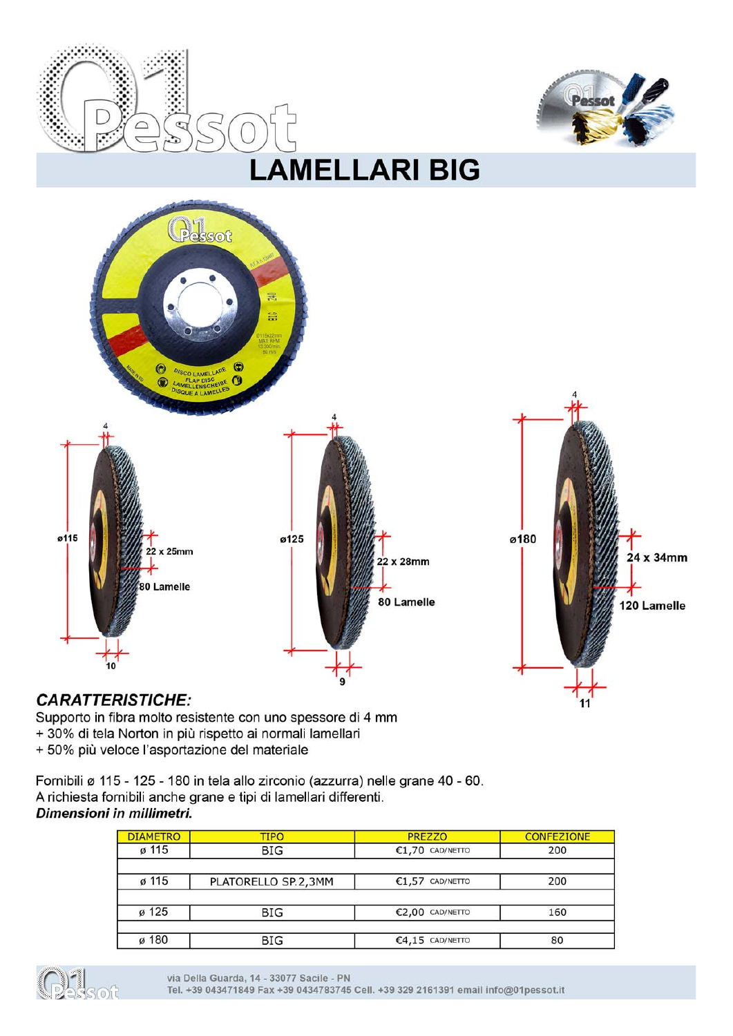





# **CARATTERISTICHE:**

Supporto in fibra molto resistente con uno spessore di 4 mm

- + 30% di tela Norton in più rispetto ai normali lamellari
- + 50% più veloce l'asportazione del materiale

Fornibili ø 115 - 125 - 180 in tela allo zirconio (azzurra) nelle grane 40 - 60. A richiesta fornibili anche grane e tipi di lamellari differenti. Dimensioni in millimetri.

#### **DIAMETRO CONFEZIONE TIPO PREZZO** ø 115  $£1,70$  CAD/NETTO 200 **BIG** ø 115 PLATORELLO SP.2,3MM  $£1,57$  CAD/NETTO 200  $\sigma$  125 **BIG** €2,00 CAD/NETTO 160 ø 180  $\overline{BIG}$  $64,15$  CAD/NETTO  $80$

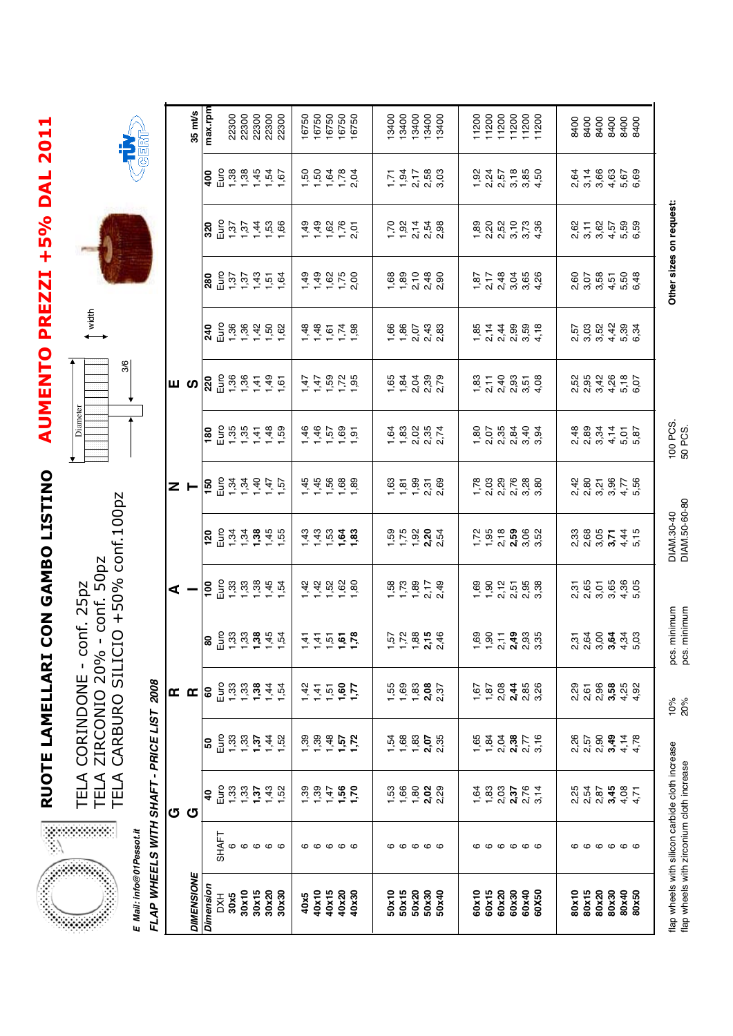**Section** 

# RUOTE LAMELLARI CON GAMBO LISTINO AUMENTO PREZZI +5% DAL 2011 **AUMENTO PREZZI +5% DAL 2011RUOTE LAMELLARI CON GAMBO LISTINO**

TELA CORINDONE - conf. 25pz<br>TELA ZIRCONIO 20% - conf. 50pz<br>TELA CARBURO SILICIO +50% conf.100pz TELA CARBURO SILICIO +50% conf.100pz TELA ZIRCONIO 20% - conf. 50pz TELA CORINDONE - conf. 25pz



width



| ě                                                                                                                        |
|--------------------------------------------------------------------------------------------------------------------------|
| ١<br>l<br>i                                                                                                              |
|                                                                                                                          |
|                                                                                                                          |
| I<br>I<br>and the state of the state of the state of the state of the state of the state of the state of the state of th |

**E Mail: info@01Pessot.it**

E Mail: info@01Pessot.it

|                     | $35 \text{ m}$ t/s | max.rpm   |                                                                                                                                                                                                                                                                                                       |    |       |       |                   | ខ្លួ<br>ខ្លួន ខ្លួន<br>ខ្លួន ខ្លួន<br>ខ្លួន ខ្លួន |      |       |       |                             | 16750<br>16750<br>16750<br>16750                                                                       |       |       |       |                                                                                                                                                                                                        |                                                              |       |       |       | 1200<br>11200<br>11200<br>11200<br>11200                                                                                                                                                                                                                                                                                                                                                                                                                    |       |                                                   | 8400<br>8400<br>8400<br>8400 |                |       |                                                                   |       |
|---------------------|--------------------|-----------|-------------------------------------------------------------------------------------------------------------------------------------------------------------------------------------------------------------------------------------------------------------------------------------------------------|----|-------|-------|-------------------|---------------------------------------------------|------|-------|-------|-----------------------------|--------------------------------------------------------------------------------------------------------|-------|-------|-------|--------------------------------------------------------------------------------------------------------------------------------------------------------------------------------------------------------|--------------------------------------------------------------|-------|-------|-------|-------------------------------------------------------------------------------------------------------------------------------------------------------------------------------------------------------------------------------------------------------------------------------------------------------------------------------------------------------------------------------------------------------------------------------------------------------------|-------|---------------------------------------------------|------------------------------|----------------|-------|-------------------------------------------------------------------|-------|
|                     |                    |           |                                                                                                                                                                                                                                                                                                       |    |       |       |                   |                                                   |      |       |       |                             | $5.58888$<br>$-2.588$                                                                                  |       |       |       |                                                                                                                                                                                                        | $7.377800$<br>$7.377800$                                     |       |       |       |                                                                                                                                                                                                                                                                                                                                                                                                                                                             |       | 1 2 2 2 3 3 4<br>2 4 7 5 6 7 9 7<br>2 4 7 6 7 9 7 |                              |                |       | 5 7 8 8 6 6 6<br>2 7 8 6 6 6 6<br>3 7 8 7 6 9                     |       |
|                     |                    |           | $320$<br>$0.57$<br>$0.57$<br>$0.57$<br>$0.57$<br>$0.57$<br>$0.56$<br>$0.57$                                                                                                                                                                                                                           |    |       |       |                   |                                                   |      |       |       |                             | $4.488877$ $6.75777$                                                                                   |       |       |       |                                                                                                                                                                                                        | $7.92 + 7.92$<br>$7.92 + 7.92$<br>$7.92 + 7.92$              |       |       |       | 8 0 0 0 0 0 0<br>8 0 0 0 - 0 0<br>- 0 0 0 0 4                                                                                                                                                                                                                                                                                                                                                                                                               |       |                                                   |                              |                |       | 2 1 1 2 2 5 9 9<br>2 1 2 9 9 9 9<br>2 9 9 9 9 9 9                 |       |
|                     |                    |           | $280$<br>$E = 35$<br>$E = 35$<br>$E = 35$<br>$E = 35$<br>$E = 35$<br>$E = 35$<br>$E = 35$<br>$E = 35$<br>$E = 35$<br>$E = 35$<br>$E = 35$<br>$E = 35$<br>$E = 35$<br>$E = 35$<br>$E = 35$<br>$E = 35$<br>$E = 35$<br>$E = 35$<br>$E = 35$<br>$E = 35$<br>$E = 35$<br>$E = 35$<br>$E = 35$<br>$E = 35$ |    |       |       |                   |                                                   |      |       |       |                             | $7.49$<br>$7.49$<br>$7.59$<br>$7.50$<br>$7.50$<br>$7.50$                                               |       |       |       |                                                                                                                                                                                                        | 88 80 90 90<br>1 - 20 90 90                                  |       |       |       |                                                                                                                                                                                                                                                                                                                                                                                                                                                             |       | 5 7 8 7 8 9 8<br>6 7 8 9 8 9 8<br>7 8 9 9 9 9     |                              |                |       |                                                                   |       |
|                     |                    |           | $29.8888888$<br>$45.88788$                                                                                                                                                                                                                                                                            |    |       |       |                   |                                                   |      |       |       |                             | $7.78$<br>$7.78$<br>$7.78$<br>$7.78$                                                                   |       |       |       |                                                                                                                                                                                                        | $6680798$<br>$-0.8609$                                       |       |       |       | $6.48866$<br>$6.48866$<br>$6.48866$                                                                                                                                                                                                                                                                                                                                                                                                                         |       |                                                   |                              |                |       | 5<br>២០២០ ម៉ា<br>២០២០ ម៉ា                                         |       |
| Ш                   | S                  |           |                                                                                                                                                                                                                                                                                                       |    |       |       |                   |                                                   |      |       |       |                             | トート<br>イム vi Vi vi<br>イイス vi Vi Vi                                                                     |       |       |       |                                                                                                                                                                                                        | 5<br>6 8 9 9 9 9<br>6 9 9 9 9 9                              |       |       |       |                                                                                                                                                                                                                                                                                                                                                                                                                                                             |       | 8 1 1 0 1 1 8<br>8 1 4 8 5 6<br>1 9 8 9 9 9       |                              |                |       | 2 5 6 7 7 8 7<br>2 7 7 7 7 0<br>2 7 9 7 0 7 0 7                   |       |
|                     |                    |           | $\frac{8}{10}$ $\frac{6}{10}$ $\frac{6}{10}$ $\frac{6}{10}$ $\frac{6}{10}$ $\frac{6}{10}$ $\frac{6}{10}$ $\frac{6}{10}$ $\frac{6}{10}$ $\frac{6}{10}$ $\frac{6}{10}$ $\frac{6}{10}$ $\frac{6}{10}$ $\frac{6}{10}$ $\frac{6}{10}$ $\frac{6}{10}$                                                       |    |       |       |                   |                                                   |      |       |       |                             | $4.46$<br>$7.66$<br>$7.66$<br>$7.66$<br>$7.6$                                                          |       |       |       |                                                                                                                                                                                                        |                                                              |       |       |       | $80553493$<br>$-2053493$                                                                                                                                                                                                                                                                                                                                                                                                                                    |       |                                                   |                              |                |       | 8 8 8 7 7 6 8<br>6 8 9 7 7 6 8<br>0 8 7 7 8 9                     |       |
| $z -$               |                    |           |                                                                                                                                                                                                                                                                                                       |    |       |       |                   |                                                   |      |       |       |                             | $49888$<br>$49888$<br>$4988$                                                                           |       |       |       |                                                                                                                                                                                                        |                                                              |       |       |       |                                                                                                                                                                                                                                                                                                                                                                                                                                                             |       |                                                   |                              |                |       | 3<br>មិនស្រី<br>ស្រី ស្រី ស្                                      |       |
|                     |                    |           | $120$<br>$253$<br>$753$<br>$755$<br>$755$<br>$755$                                                                                                                                                                                                                                                    |    |       |       |                   |                                                   |      |       |       |                             |                                                                                                        |       |       |       |                                                                                                                                                                                                        | $1.59$<br>$7.79$<br>$7.79$<br>$7.54$<br>$7.54$<br>$7.54$     |       |       |       | 2 5 6 <b>6 9 6</b><br>7 6 <b>7 6 9</b> 6 7<br>7 7 9 9 9 0                                                                                                                                                                                                                                                                                                                                                                                                   |       |                                                   |                              |                |       |                                                                   |       |
|                     |                    |           |                                                                                                                                                                                                                                                                                                       |    |       |       |                   |                                                   |      |       |       |                             | $7.7888$<br>$7.7888$                                                                                   |       |       |       |                                                                                                                                                                                                        | $1, 7, 80$<br>$1, 7, 80$<br>$1, 40$<br>$1, 7, 80$<br>$1, 40$ |       |       |       | 8 9 9 1 5 8 8<br>6 9 1 5 8 8<br>6 9 1 8 9 8                                                                                                                                                                                                                                                                                                                                                                                                                 |       |                                                   |                              |                |       | ភូមិ5 មិន<br>ស្រុក មិន<br>ស្រុក មិន                               |       |
|                     |                    | 80        | $\frac{1}{1}$ = $\frac{1}{1}$ = $\frac{1}{1}$ = $\frac{1}{1}$ = $\frac{1}{1}$ = $\frac{1}{1}$                                                                                                                                                                                                         |    |       |       |                   |                                                   |      |       |       |                             | $\frac{4}{4}$ $\frac{1}{4}$ $\frac{1}{10}$ $\frac{1}{10}$ $\frac{1}{10}$ $\frac{1}{10}$ $\frac{1}{10}$ |       |       |       |                                                                                                                                                                                                        |                                                              |       |       |       | $\begin{array}{l} 0 \\ 0 \\ \hline 0 \\ \hline 1 \\ \hline 2 \\ \hline 3 \\ \hline 4 \\ \hline 5 \\ \hline 6 \\ \hline 7 \\ \hline 8 \\ \hline 9 \\ \hline 1 \\ \hline 2 \\ \hline 4 \\ \hline 5 \\ \hline 6 \\ \hline 7 \\ \hline 8 \\ \hline 9 \\ \hline 1 \\ \hline 1 \\ \hline 2 \\ \hline 3 \\ \hline 4 \\ \hline 5 \\ \hline 6 \\ \hline 7 \\ \hline 8 \\ \hline 9 \\ \hline 1 \\ \hline 1 \\ \hline 2 \\ \hline 3 \\ \hline 4 \\ \hline 5 \\ \hline$ |       |                                                   |                              |                |       | ភូ ភូ <b>៍ ភូ ភូ</b> ភូ ភូ<br>ស្រី ស្ថិត្តិ ភូ ភូ                 |       |
| $\approx$ $\approx$ |                    |           | $8^{+3.8}_{-1.9}$                                                                                                                                                                                                                                                                                     |    |       |       |                   | $\frac{1}{2}$ $\frac{1}{2}$ $\frac{1}{2}$         |      |       |       |                             | 1115 <b>67</b><br>1115 <b>67</b>                                                                       |       |       |       | 5<br>5<br>5<br>5<br>5<br>5<br>5<br>5<br>5<br>5<br>5<br>5<br>5<br>2<br>5<br>2<br>                                                                                                                       |                                                              | 1,67  | 1,87  |       |                                                                                                                                                                                                                                                                                                                                                                                                                                                             |       |                                                   |                              |                |       | 0 1 5 6 <b>8 1</b> 0 1<br>0 1 6 1 <b>6 1</b> 0 1<br>0 1 0 1 0 1 1 |       |
|                     |                    |           | <b>8</b> $\frac{6}{5}$ $\frac{8}{5}$ $\frac{8}{5}$ $\frac{6}{5}$ $\frac{4}{5}$ $\frac{8}{5}$                                                                                                                                                                                                          |    |       |       |                   |                                                   |      |       |       |                             |                                                                                                        |       |       |       |                                                                                                                                                                                                        |                                                              |       |       |       |                                                                                                                                                                                                                                                                                                                                                                                                                                                             |       |                                                   |                              |                |       | 2 5 9 <del>9 1</del> 7 8<br>2 5 9 <del>9 1</del> 7<br>2 8 9 9 1 9 |       |
| ය ය                 |                    | ទ         |                                                                                                                                                                                                                                                                                                       |    |       |       |                   |                                                   |      |       |       |                             | 8<br>8 8 7 <b>8 6 7</b><br>8 8 7 <b>8 8 7</b>                                                          |       |       |       | $1.53$<br>$1.66$<br>$1.60$<br>$2.8$<br>$2.8$<br>$2.8$<br><br>$2.8$<br><br><br><br><br><br><br><br><br><br><br><br><br><br><br><br><br><br><br><br><br><br><br><br><br><br><br><br><br><br><br><br><br> |                                                              |       |       |       | d<br>6 8 9 <b>9 7</b> 7 4<br>7 7 9 9 9 7 9 7                                                                                                                                                                                                                                                                                                                                                                                                                |       |                                                   |                              |                |       | 2 2 2 2 3 4 5 7<br>2 3 4 5 6 7<br>2 3 7 8 9 7                     |       |
|                     |                    |           | <b>SHAFT</b>                                                                                                                                                                                                                                                                                          | ဖဖ |       |       | $\circ\circ\circ$ |                                                   |      |       |       | $\circ\circ\circ\circ\circ$ |                                                                                                        |       |       |       | $\circ\circ\circ\circ\circ$                                                                                                                                                                            |                                                              |       |       |       | <b>000000</b>                                                                                                                                                                                                                                                                                                                                                                                                                                               |       |                                                   |                              |                |       | <b>000000</b>                                                     |       |
|                     | <b>DIMENSIONE</b>  | Dimension | 30x5                                                                                                                                                                                                                                                                                                  |    | 30x10 | 30x15 | 30x20             | 30x30                                             | 40x5 | 40x10 | 40x15 | 40x20                       | 40x30                                                                                                  | 50x10 | 50x15 | 50x20 | 50x30<br>50x40                                                                                                                                                                                         |                                                              | 60x10 | 60x15 | 60x20 | 60x30                                                                                                                                                                                                                                                                                                                                                                                                                                                       | 60x40 | 60X50                                             | 80x10                        | 80x15<br>80x20 | 80x30 | 80x40                                                             | 80x50 |

flap wheels with silicon carbide cloth increase 10% pcs. minimum DIAM.30-40 100 PCS. **Other sizes on request:**

DIAM.30-40<br>DIAM.50-60-80

100 PCS.<br>50 PCS.

Other sizes on request:

flap wheels with zirconium cloth increase 20% pcs. minimum DIAM.50-60-80 50 PCS.

 $10%$ <br>20%

flap wheels with silicon carbide cloth increase<br>flap wheels with zirconium cloth increase

pcs. minimum<br>pcs. minimum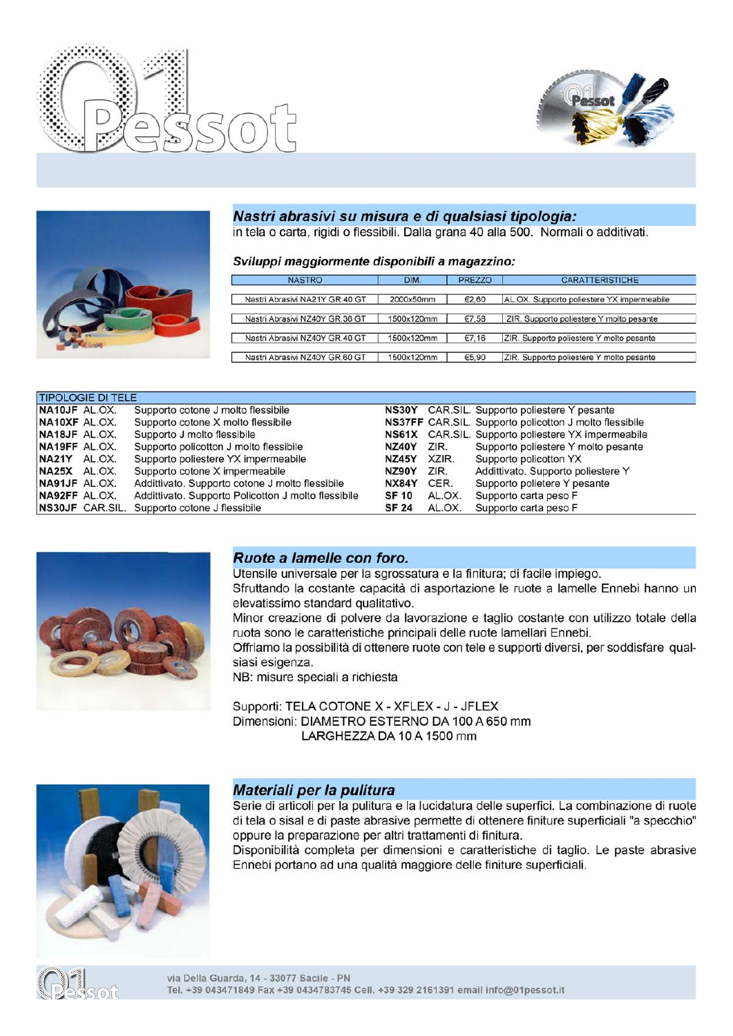





### Nastri abrasivi su misura e di qualsiasi tipologia:

in tela o carta, rigidi o flessibili. Dalla grana 40 alla 500. Normali o additivati.

#### Sviluppi maggiormente disponibili a magazzino:

| <b>NASTRO</b>                  | DIM.       | <b>PREZZO</b> | <b>CARATTERISTICHE</b>                     |
|--------------------------------|------------|---------------|--------------------------------------------|
| Nastri Abrasivi NA21Y GR.40 GT | 2000x50mm  | €2,60         | AL.OX. Supporto poliestere YX impermeabile |
| Nastri Abrasivi NZ40Y GR.36 GT | 1500x120mm | €7.58         | ZIR. Supporto poliestere Y molto pesante   |
| Nastri Abrasivi NZ40Y GR.40 GT | 1500x120mm | €7.16         | ZIR. Supporto poliestere Y molto pesante   |
| Nastri Abrasivi NZ40Y GR.60 GT | 1500x120mm | €5,90         | ZIR. Supporto poliestere Y molto pesante   |

|               | <b>TIPOLOGIE DI TELE</b> |                                                     |              |        |                                                               |
|---------------|--------------------------|-----------------------------------------------------|--------------|--------|---------------------------------------------------------------|
| NA10JF AL.OX. |                          | Supporto cotone J molto flessibile                  |              |        | NS30Y CAR.SIL. Supporto poliestere Y pesante                  |
| NA10XF AL.OX. |                          | Supporto cotone X molto flessibile                  |              |        | <b>NS37FF</b> CAR.SIL. Supporto policotton J molto flessibile |
| NA18JF AL.OX. |                          | Supporto J molto flessibile                         |              |        | NS61X CAR.SIL. Supporto poliestere YX impermeabile            |
| NA19FF AL.OX. |                          | Supporto policotton J molto flessibile              | NZ40Y        | ZIR.   | Supporto poliestere Y molto pesante                           |
| NA21Y AL.OX.  |                          | Supporto poliestere YX impermeabile                 | NZ45Y        | XZIR.  | Supporto policotton YX                                        |
| NA25X AL.OX.  |                          | Supporto cotone X impermeabile                      | NZ90Y        | ZIR.   | Addittivato. Supporto poliestere Y                            |
| NA91JF AL.OX. |                          | Addittivato. Supporto cotone J molto flessibile     | NX84Y        | CER.   | Supporto polietere Y pesante                                  |
| NA92FF AL.OX. |                          | Addittivato. Supporto Policotton J molto flessibile | <b>SF 10</b> | AL.OX. | Supporto carta peso F                                         |
|               | NS30JF CAR.SIL.          | Supporto cotone J flessibile                        | <b>SF 24</b> | AL.OX. | Supporto carta peso F                                         |



#### Ruote a lamelle con foro.

Utensile universale per la sgrossatura e la finitura; di facile impiego. Sfruttando la costante capacità di asportazione le ruote a lamelle Ennebi hanno un elevatissimo standard qualitativo.

Minor creazione di polvere da lavorazione e taglio costante con utilizzo totale della ruota sono le caratteristiche principali delle ruote lamellari Ennebi.

Offriamo la possibilità di ottenere ruote con tele e supporti diversi, per soddisfare qualsiasi esigenza.

NB: misure speciali a richiesta

Supporti: TELA COTONE X - XFLEX - J - JFLEX Dimensioni: DIAMETRO ESTERNO DA 100 A 650 mm LARGHEZZA DA 10 A 1500 mm



#### Materiali per la pulitura

Serie di articoli per la pulitura e la lucidatura delle superfici. La combinazione di ruote di tela o sisal e di paste abrasive permette di ottenere finiture superficiali "a specchio" oppure la preparazione per altri trattamenti di finitura.

Disponibilità completa per dimensioni e caratteristiche di taglio. Le paste abrasive Ennebi portano ad una qualità maggiore delle finiture superficiali.